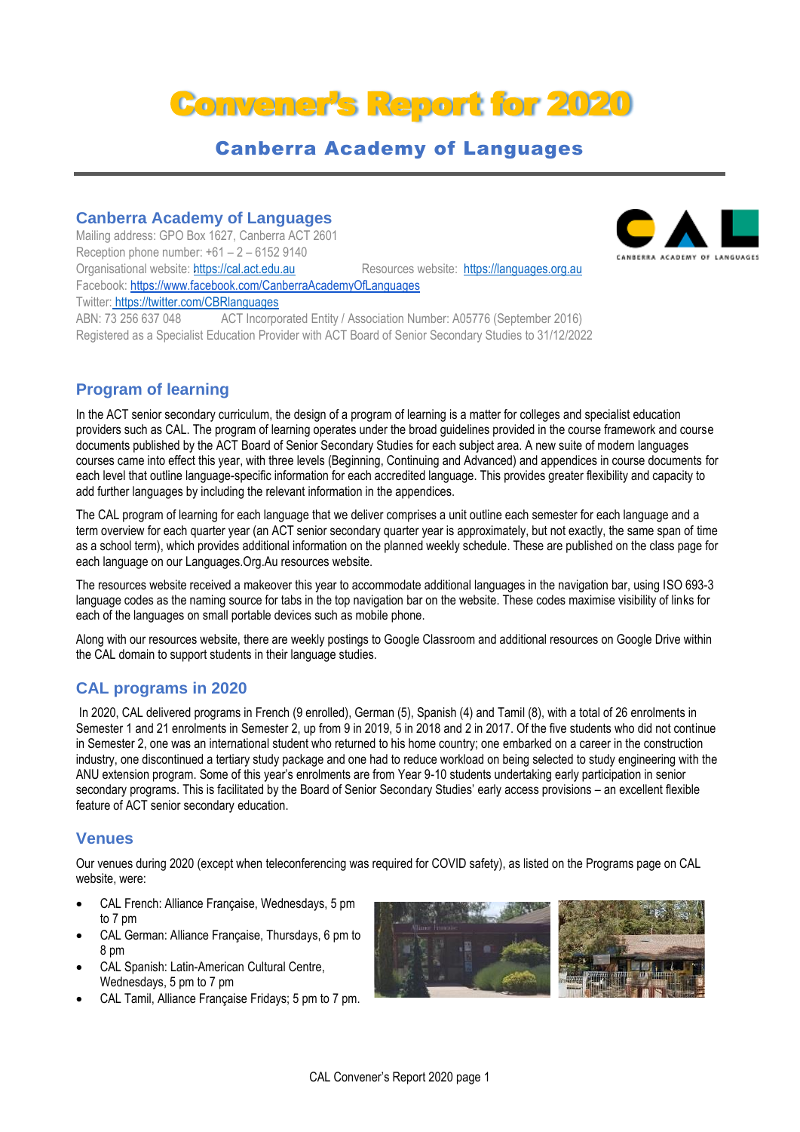# Convener's Report for 2020

# Canberra Academy of Languages

# **Canberra Academy of Languages**

Mailing address: GPO Box 1627, Canberra ACT 2601 Reception phone number:  $+61 - 2 - 61529140$ Organisational website: [https://cal.act.edu.au](https://cal.act.edu.au/) Resources website: [https://languages.org.au](https://languages.org.au/) Facebook: https://www.facebook.com/CanberraAcademyOfLanguages Twitter: https://twitter.com/CBRlanguages ABN: 73 256 637 048 ACT Incorporated Entity / Association Number: A05776 (September 2016)

Registered as a Specialist Education Provider with ACT Board of Senior Secondary Studies to 31/12/2022

# **Program of learning**

In the ACT senior secondary curriculum, the design of a program of learning is a matter for colleges and specialist education providers such as CAL. The program of learning operates under the broad guidelines provided in the course framework and course documents published by the ACT Board of Senior Secondary Studies for each subject area. A new suite of modern languages courses came into effect this year, with three levels (Beginning, Continuing and Advanced) and appendices in course documents for each level that outline language-specific information for each accredited language. This provides greater flexibility and capacity to add further languages by including the relevant information in the appendices.

The CAL program of learning for each language that we deliver comprises a unit outline each semester for each language and a term overview for each quarter year (an ACT senior secondary quarter year is approximately, but not exactly, the same span of time as a school term), which provides additional information on the planned weekly schedule. These are published on the class page for each language on our Languages.Org.Au resources website.

The resources website received a makeover this year to accommodate additional languages in the navigation bar, using ISO 693-3 language codes as the naming source for tabs in the top navigation bar on the website. These codes maximise visibility of links for each of the languages on small portable devices such as mobile phone.

Along with our resources website, there are weekly postings to Google Classroom and additional resources on Google Drive within the CAL domain to support students in their language studies.

# **CAL programs in 2020**

In 2020, CAL delivered programs in French (9 enrolled), German (5), Spanish (4) and Tamil (8), with a total of 26 enrolments in Semester 1 and 21 enrolments in Semester 2, up from 9 in 2019, 5 in 2018 and 2 in 2017. Of the five students who did not continue in Semester 2, one was an international student who returned to his home country; one embarked on a career in the construction industry, one discontinued a tertiary study package and one had to reduce workload on being selected to study engineering with the ANU extension program. Some of this year's enrolments are from Year 9-10 students undertaking early participation in senior secondary programs. This is facilitated by the Board of Senior Secondary Studies' early access provisions – an excellent flexible feature of ACT senior secondary education.

### **Venues**

Our venues during 2020 (except when teleconferencing was required for COVID safety), as listed on the Programs page on CAL website, were:

- CAL French: Alliance Française, Wednesdays, 5 pm to 7 pm
- CAL German: Alliance Française, Thursdays, 6 pm to 8 pm
- CAL Spanish: Latin-American Cultural Centre, Wednesdays, 5 pm to 7 pm
- CAL Tamil, Alliance Française Fridays; 5 pm to 7 pm.



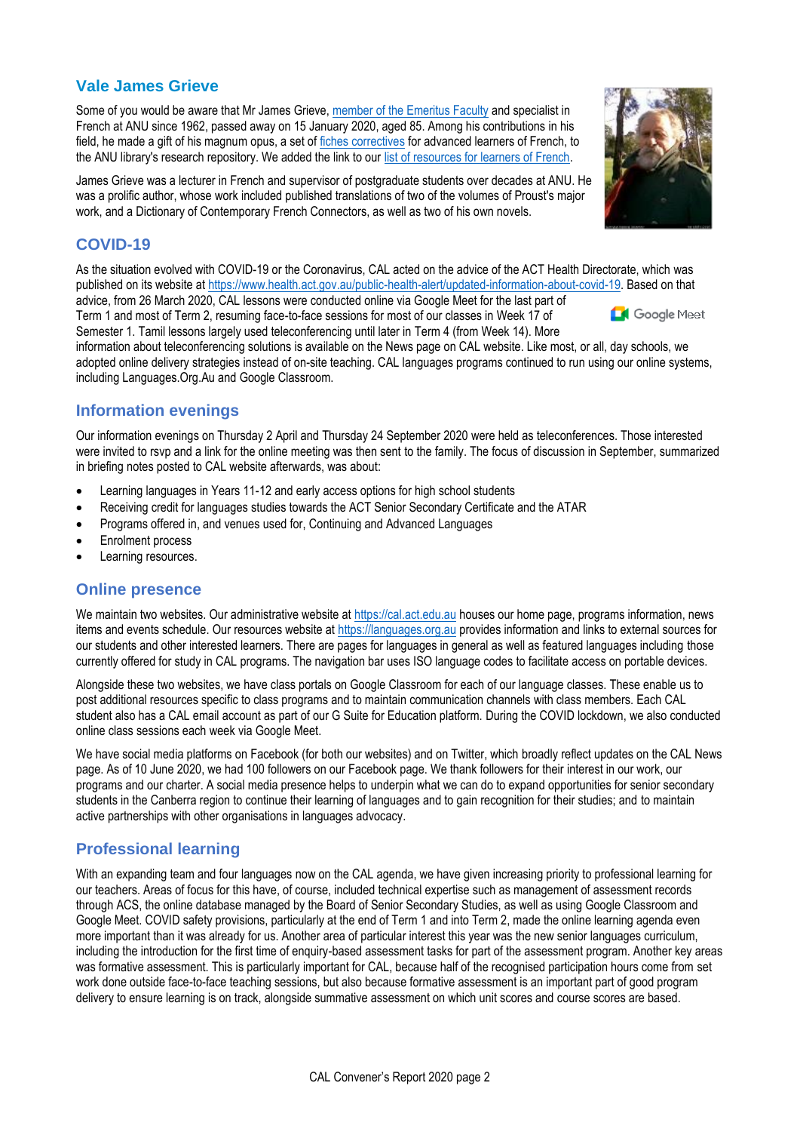# **Vale James Grieve**

Some of you would be aware that Mr James Grieve, [member of the Emeritus Faculty](https://openresearch-repository.anu.edu.au/handle/1885/12915) and specialist in French at ANU since 1962, passed away on 15 January 2020, aged 85. Among his contributions in his field, he made a gift of his magnum opus, a set of [fiches correctives](https://anulib.anu.edu.au/news-events/news/anu-icon-james-grieve-finishes-magnum-opus) for advanced learners of French, to the ANU library's research repository. We added the link to our [list of resources for learners of French.](https://languages.org.au/french/french.htm)

James Grieve was a lecturer in French and supervisor of postgraduate students over decades at ANU. He was a prolific author, whose work included published translations of two of the volumes of Proust's major work, and a Dictionary of Contemporary French Connectors, as well as two of his own novels.

## **COVID-19**

As the situation evolved with COVID-19 or the Coronavirus, CAL acted on the advice of the ACT Health Directorate, which was published on its website at [https://www.health.act.gov.au/public-health-alert/updated-information-about-covid-19.](https://www.health.act.gov.au/public-health-alert/updated-information-about-covid-19) Based on that

advice, from 26 March 2020, CAL lessons were conducted online via Google Meet for the last part of Term 1 and most of Term 2, resuming face-to-face sessions for most of our classes in Week 17 of Semester 1. Tamil lessons largely used teleconferencing until later in Term 4 (from Week 14). More

information about teleconferencing solutions is available on the News page on CAL website. Like most, or all, day schools, we adopted online delivery strategies instead of on-site teaching. CAL languages programs continued to run using our online systems, including Languages.Org.Au and Google Classroom.

## **Information evenings**

Our information evenings on Thursday 2 April and Thursday 24 September 2020 were held as teleconferences. Those interested were invited to rsvp and a link for the online meeting was then sent to the family. The focus of discussion in September, summarized in briefing notes posted to CAL website afterwards, was about:

- Learning languages in Years 11-12 and early access options for high school students
- Receiving credit for languages studies towards the ACT Senior Secondary Certificate and the ATAR
- Programs offered in, and venues used for, Continuing and Advanced Languages
- Enrolment process
- Learning resources.

#### **Online presence**

We maintain two websites. Our administrative website at [https://cal.act.edu.au](https://cal.act.edu.au/) houses our home page, programs information, news items and events schedule. Our resources website at [https://languages.org.au](https://languages.org.au/) provides information and links to external sources for our students and other interested learners. There are pages for languages in general as well as featured languages including those currently offered for study in CAL programs. The navigation bar uses ISO language codes to facilitate access on portable devices.

Alongside these two websites, we have class portals on Google Classroom for each of our language classes. These enable us to post additional resources specific to class programs and to maintain communication channels with class members. Each CAL student also has a CAL email account as part of our G Suite for Education platform. During the COVID lockdown, we also conducted online class sessions each week via Google Meet.

We have social media platforms on Facebook (for both our websites) and on Twitter, which broadly reflect updates on the CAL News page. As of 10 June 2020, we had 100 followers on our Facebook page. We thank followers for their interest in our work, our programs and our charter. A social media presence helps to underpin what we can do to expand opportunities for senior secondary students in the Canberra region to continue their learning of languages and to gain recognition for their studies; and to maintain active partnerships with other organisations in languages advocacy.

# **Professional learning**

With an expanding team and four languages now on the CAL agenda, we have given increasing priority to professional learning for our teachers. Areas of focus for this have, of course, included technical expertise such as management of assessment records through ACS, the online database managed by the Board of Senior Secondary Studies, as well as using Google Classroom and Google Meet. COVID safety provisions, particularly at the end of Term 1 and into Term 2, made the online learning agenda even more important than it was already for us. Another area of particular interest this year was the new senior languages curriculum, including the introduction for the first time of enquiry-based assessment tasks for part of the assessment program. Another key areas was formative assessment. This is particularly important for CAL, because half of the recognised participation hours come from set work done outside face-to-face teaching sessions, but also because formative assessment is an important part of good program delivery to ensure learning is on track, alongside summative assessment on which unit scores and course scores are based.



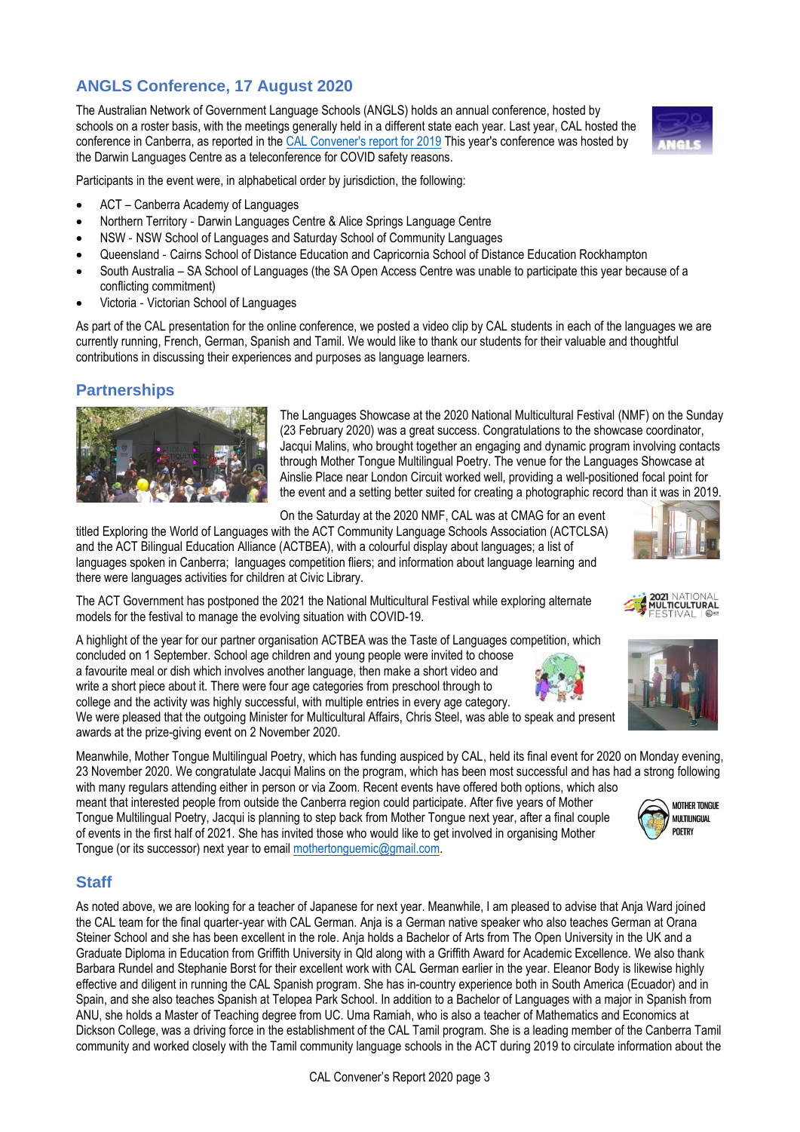# **ANGLS Conference, 17 August 2020**

The Australian Network of Government Language Schools (ANGLS) holds an annual conference, hosted by schools on a roster basis, with the meetings generally held in a different state each year. Last year, CAL hosted the conference in Canberra, as reported in the [CAL Convener's report for 2019](https://cal.act.edu.au/docs/Convener_Report_CAL_2019.pdf) This year's conference was hosted by the Darwin Languages Centre as a teleconference for COVID safety reasons.



- ACT Canberra Academy of Languages
- Northern Territory ‐ Darwin Languages Centre & Alice Springs Language Centre
- NSW ‐ NSW School of Languages and Saturday School of Community Languages
- Queensland ‐ Cairns School of Distance Education and Capricornia School of Distance Education Rockhampton
- South Australia SA School of Languages (the SA Open Access Centre was unable to participate this year because of a conflicting commitment)
- Victoria ‐ Victorian School of Languages

As part of the CAL presentation for the online conference, we posted a video clip by CAL students in each of the languages we are currently running, French, German, Spanish and Tamil. We would like to thank our students for their valuable and thoughtful contributions in discussing their experiences and purposes as language learners.

## **Partnerships**



The Languages Showcase at the 2020 National Multicultural Festival (NMF) on the Sunday (23 February 2020) was a great success. Congratulations to the showcase coordinator, Jacqui Malins, who brought together an engaging and dynamic program involving contacts through Mother Tongue Multilingual Poetry. The venue for the Languages Showcase at Ainslie Place near London Circuit worked well, providing a well-positioned focal point for the event and a setting better suited for creating a photographic record than it was in 2019.

On the Saturday at the 2020 NMF, CAL was at CMAG for an event

titled Exploring the World of Languages with the ACT Community Language Schools Association (ACTCLSA) and the ACT Bilingual Education Alliance (ACTBEA), with a colourful display about languages; a list of languages spoken in Canberra; languages competition fliers; and information about language learning and there were languages activities for children at Civic Library.

The ACT Government has postponed the 2021 the National Multicultural Festival while exploring alternate models for the festival to manage the evolving situation with COVID-19.

A highlight of the year for our partner organisation ACTBEA was the Taste of Languages competition, which concluded on 1 September. School age children and young people were invited to choose a favourite meal or dish which involves another language, then make a short video and write a short piece about it. There were four age categories from preschool through to college and the activity was highly successful, with multiple entries in every age category.

We were pleased that the outgoing Minister for Multicultural Affairs, Chris Steel, was able to speak and present awards at the prize-giving event on 2 November 2020.

Meanwhile, Mother Tongue Multilingual Poetry, which has funding auspiced by CAL, held its final event for 2020 on Monday evening, 23 November 2020. We congratulate Jacqui Malins on the program, which has been most successful and has had a strong following with many regulars attending either in person or via Zoom. Recent events have offered both options, which also

meant that interested people from outside the Canberra region could participate. After five years of Mother Tongue Multilingual Poetry, Jacqui is planning to step back from Mother Tongue next year, after a final couple of events in the first half of 2021. She has invited those who would like to get involved in organising Mother Tongue (or its successor) next year to emai[l mothertonguemic@gmail.com.](mailto:mothertonguemic@gmail.com?subject=Mother%20Tongue%20Multilingual%20Poetry%20future%20planning)

# **Staff**

As noted above, we are looking for a teacher of Japanese for next year. Meanwhile, I am pleased to advise that Anja Ward joined the CAL team for the final quarter-year with CAL German. Anja is a German native speaker who also teaches German at Orana Steiner School and she has been excellent in the role. Anja holds a Bachelor of Arts from The Open University in the UK and a Graduate Diploma in Education from Griffith University in Qld along with a Griffith Award for Academic Excellence. We also thank Barbara Rundel and Stephanie Borst for their excellent work with CAL German earlier in the year. Eleanor Body is likewise highly effective and diligent in running the CAL Spanish program. She has in-country experience both in South America (Ecuador) and in Spain, and she also teaches Spanish at Telopea Park School. In addition to a Bachelor of Languages with a major in Spanish from ANU, she holds a Master of Teaching degree from UC. Uma Ramiah, who is also a teacher of Mathematics and Economics at Dickson College, was a driving force in the establishment of the CAL Tamil program. She is a leading member of the Canberra Tamil community and worked closely with the Tamil community language schools in the ACT during 2019 to circulate information about the





2021 NATIONAL<br>Multicultural